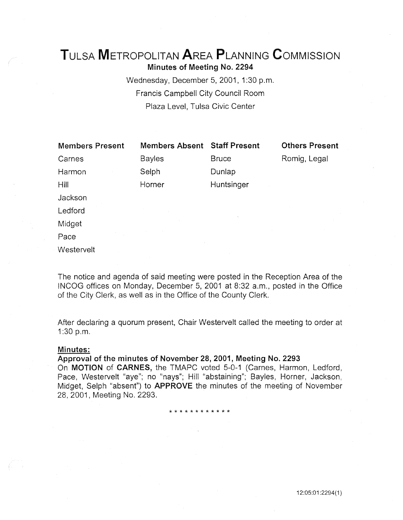# TuLsA METROPOLITAN AREA PLANNING CoMMISSION Minutes of Meeting No. 2294

Wednesday, December 5, 2001, 1:30 p.m. Francis Campbell City Council Room Plaza Level, Tulsa Civic Center

| <b>Members Present</b> | <b>Members Absent</b> | <b>Staff Present</b> | <b>Others Present</b> |
|------------------------|-----------------------|----------------------|-----------------------|
| Carnes                 | <b>Bayles</b>         | <b>Bruce</b>         | Romig, Legal          |
| Harmon                 | Selph                 | Dunlap               |                       |
| Hill                   | Horner                | Huntsinger           |                       |
| Jackson                |                       |                      |                       |
| Ledford                |                       |                      |                       |
| Midget                 |                       | $\Delta_{\rm c}$     |                       |
| Pace                   |                       |                      |                       |
| Westervelt             |                       |                      |                       |

The notice and agenda of said meeting were posted in the Reception Area of the INCOG offices on Monday, December 5, 2001 at 8:32 a.m., posted in the Office of the City Clerk, as well as in the Office of the County Clerk.

After declaring a quorum present, Chair Westervelt called the meeting to order at 1:30 p.m.

### Minutes:

## Approval of the minutes of November 28, 2001, Meeting No. 2293

On MOTION of CARNES, the TMAPC voted 5-0-1 (Carnes, Harmon, Ledford, Pace, Westervelt "aye"; no "nays"; Hill "abstaining"; Bayles, Horner, Jackson, Midget, Selph "absent") to APPROVE the minutes of the meeting of November 28, 2001, Meeting No. 2293.

\* \* \* \* \* \* \* \* \* \* \* \*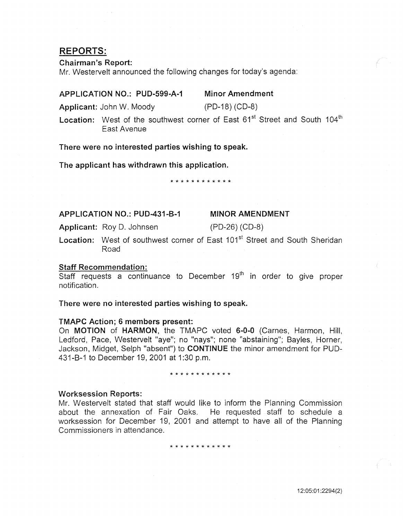## REPORTS:

### Chairman's Report:

Mr. Westervelt announced the following changes for today's agenda:

#### APPLICATION NO.: PUD-599-A-1 Minor Amendment

Applicant: John W. Moody (PD-18) (CD-8)

Location: West of the southwest corner of East 61<sup>st</sup> Street and South 104<sup>th</sup> East Avenue

There were no interested parties wishing to speak.

The applicant has withdrawn this application.

#### \* \* \* \* \* \* \* \* \* \* \*

APPLICATION NO.: PUD-431-B-1

## MINOR AMENDMENT

Applicant: Roy D. Johnsen (PD-26) (CD-8)

Location: West of southwest corner of East 101<sup>st</sup> Street and South Sheridan Road

## Staff Recommendation:

 $\overline{\text{Staff}}$  requests a continuance to December 19<sup>th</sup> in order to give proper notification.

There were no interested parties wishing to speak.

### TMAPC Action; 6 members present:

On MOTION of HARMON, the TMAPC voted 6-0-0 (Carnes, Harmon, Hill, Ledford, Pace, Westervelt "aye"; no "nays"; none "abstaining"; Bayles, Horner, Jackson, Midget, Selph "absent") to **CONTINUE** the minor amendment for PUD-431-B-1 to December 19, 2001 at 1:30 p.m.

#### \* \* \* \* \* \* \* \* \* \* \* \*

### Worksession Reports:

Mr. Westervelt stated that staff would like to inform the Planning Commission about the annexation of Fair Oaks. He requested staff to schedule a worksession for December 19, 2001 and attempt to have all of the Planning Commissioners in attendance.

\* \* \* \* \* \* \* \* \* \* \* \*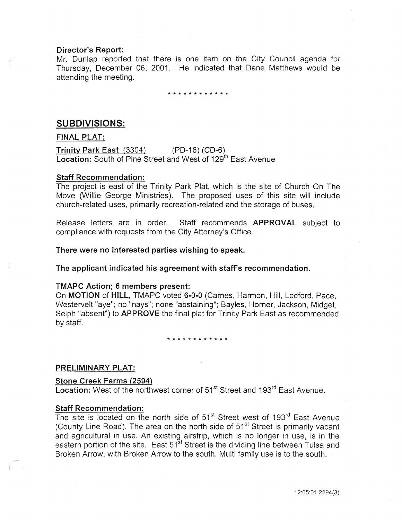### Director's Report:

Mr. Dunlap reported that there is one item on the City Council agenda for Thursday, December 06, 2001. He indicated that Dane Matthews would be attending the meeting.

## \* \* \* \* \* \* \* \* \* \* \* \*

## SUBDIVISIONS:

## FINAL PLAT:

Trinity Park East (3304) (PD-16) (CD-6) Location: South of Pine Street and West of 129<sup>th</sup> East Avenue

## Staff Recommendation:

The project is east of the Trinity Park Plat, which is the site of Church On The Move (Willie George Ministries). The proposed uses of this site will include church-related uses, primarily recreation-related and the storage of buses.

Release letters are in order. Staff recommends **APPROVAL** subject to compliance with requests from the City Attorney's Office.

There were no interested parties wishing to speak.

The applicant indicated his agreement with staff's recommendation.

## TMAPC Action; 6 members present:

On MOTION of HILL, TMAPC voted 6-0-0 (Carnes, Harmon, Hill, Ledford, Pace, Westervelt "aye"; no "nays"; none "abstaining"; Bayles, Horner, Jackson, Midget, Selph "absent") to APPROVE the final plat for Trinity Park East as recommended by staff.

\* \* \* \* \* \* \* \* \* \* \* \*

## PRELIMINARY PLAT:

### Stone Creek Farms (2594)

Location: West of the northwest corner of 51<sup>st</sup> Street and 193<sup>rd</sup> East Avenue.

## Staff Recommendation:

The site is located on the north side of 51<sup>st</sup> Street west of 193<sup>rd</sup> East Avenue (County Line Road). The area on the north side of 51<sup>st</sup> Street is primarily vacant and agricultural in use. An existing airstrip, which is no longer in use, is in the eastern portion of the site. East 51<sup>st</sup> Street is the dividing line between Tulsa and Broken Arrow, with Broken Arrow to the south. Multi family use is to the south.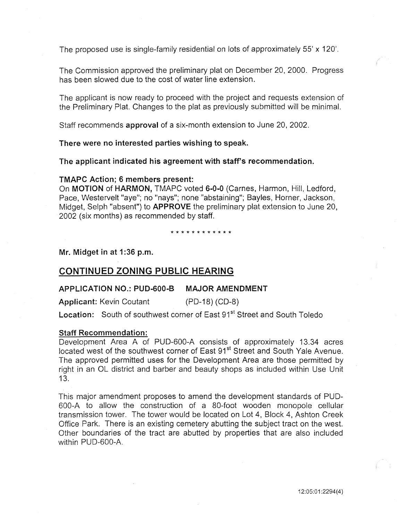The proposed use is single-family residential on lots of approximately 55' x 120'.

The Commission approved the preliminary plat on December 20, 2000. Progress has been slowed due to the cost of water line extension.

The applicant is now ready to proceed with the project and requests extension of the Preliminary Plat. Changes to the plat as previously submitted will be minimal.

Staff recommends **approval** of a six-month extension to June 20, 2002.

## **There were no interested parties wishing to speak.**

**The applicant indicated his agreement with staff's recommendation.** 

### **TMAPC Action; 6 members present:**

On **MOTION of HARMON,** TMAPC voted **6-0-0** (Carnes, Harmon, Hill, Ledford, Pace, Westervelt "aye"; no "nays"; none "abstaining"; Bayles, Horner, Jackson, Midget, Selph "absent") to **APPROVE** the preliminary plat extension to June 20, 2002 (six months) as recommended by staff.

\* \* \* \* \* \* \* \* \* \* \* \*

**Mr. Midget in at 1:36 p.m.** 

## **CONTINUED ZONING PUBLIC HEARING**

## **APPLICATION NO.: PUD-600-8 MAJOR AMENDMENT**

Applicant: Kevin Coutant (PD-18) (CD-8)

**Location:** South of southwest corner of East 91<sup>st</sup> Street and South Toledo

## **Staff Recommendation:**

Development Area A of PUD-600-A consists of approximately 13.34 acres located west of the southwest corner of East 91<sup>st</sup> Street and South Yale Avenue. The approved permitted uses for the Development Area are those permitted by right in an OL district and barber and beauty shops as included within Use Unit 13.

This major amendment proposes to amend the development standards of PUD-600-A to allow the construction of a 80-foot wooden monopole cellular transmission tower. The tower would be located on Lot 4, Block 4, Ashton Creek Office Park. There is an existing cemetery abutting the subject tract on the west. Other boundaries of the tract are abutted by properties that are also included within PUD-600-A.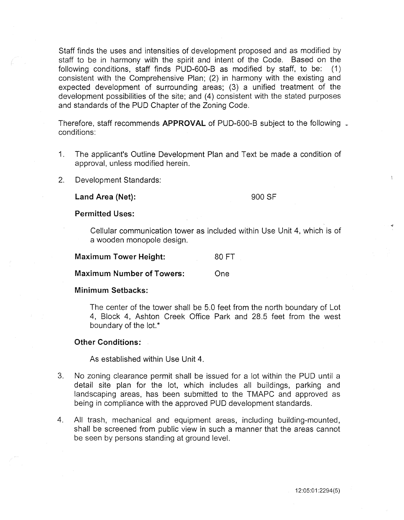Staff finds the uses and intensities of development proposed and as modified by staff to be in harmony with the spirit and intent of the Code. Based on the following conditions, staff finds PUD-600-B as modified by staff, to be: (1) consistent with the Comprehensive Plan; (2) in harmony with the existing and expected development of surrounding areas; (3) a unified treatment of the development possibilities of the site; and (4) consistent with the stated purposes and standards of the PUD Chapter of the Zoning Code.

Therefore, staff recommends **APPROVAL** of PUD-600-B subject to the following L conditions:

- 1. The applicant's Outline Development Plan and Text be made a condition of approval, unless modified herein.
- 2. Development Standards:

Land Area (Net): 900 SF

Permitted Uses:

Cellular communication tower as included within Use Unit 4, which is of a wooden monopole design.

Maximum Tower Height: 80 FT

Maximum Number of Towers: One

### Minimum Setbacks:

The center of the tower shall be 5.0 feet from the north boundary of Lot 4, Block 4, Ashton Creek Office Park and 28.5 feet from the west boundary of the lot.\*

## Other Conditions:

As established within Use Unit 4.

- 3. No zoning clearance permit shall be issued for a lot within the PUD until a detail site plan for the lot, which includes all buildings, parking and landscaping areas, has been submitted to the TMAPC and approved as being in compliance with the approved PUD development standards.
- 4. All trash, mechanical and equipment areas, including building-mounted, shall be screened from public view in such a manner that the areas cannot be seen by persons standing at ground level.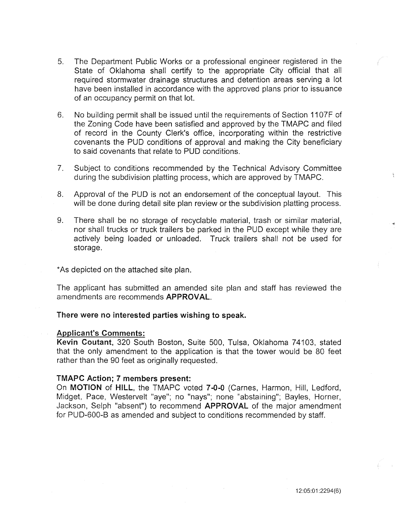- 5. The Department Public Works or a professional engineer registered in the State of Oklahoma shall certify to the appropriate City official that all required stormwater drainage structures and detention areas serving a lot have been installed in accordance with the approved plans prior to issuance of an occupancy permit on that lot.
- 6. No building permit shall be issued until the requirements of Section 11 07F of the Zoning Code have been satisfied and approved by the TMAPC and filed of record in the County Clerk's office, incorporating within the restrictive covenants the PUD conditions of approval and making the City beneficiary to said covenants that relate to PUD conditions.
- 7. Subject to conditions recommended by the Technical Advisory Committee during the subdivision platting process, which are approved by TMAPC.
- 8. Approval of the PUD is not an endorsement of the conceptual layout. This will be done during detail site plan review or the subdivision platting process.
- 9. There shall be no storage of recyclable material, trash or similar material, nor shall trucks or truck trailers be parked in the PUD except while they are actively being loaded or unloaded. Truck trailers shall not be used for storage.

\*As depicted on the attached site plan.

The applicant has submitted an amended site plan and staff has reviewed the amendments are recommends APPROVAL.

### There were no interested parties wishing to speak.

#### Applicant's Comments:

Kevin Coutant, 320 South Boston, Suite 500, Tulsa, Oklahoma 74103, stated that the only amendment to the application is that the tower would be 80 feet rather than the 90 feet as originally requested.

### TMAPC Action; 7 members present:

On MOTION of HILL, the TMAPC voted 7-0-0 (Carnes, Harmon, Hill, Ledford, Midget, Pace, Westervelt "aye"; no "nays"; none "abstaining"; Bayles, Horner, Jackson, Selph "absent") to recommend APPROVAL of the major amendment for PUD-600-B as amended and subject to conditions recommended by staff.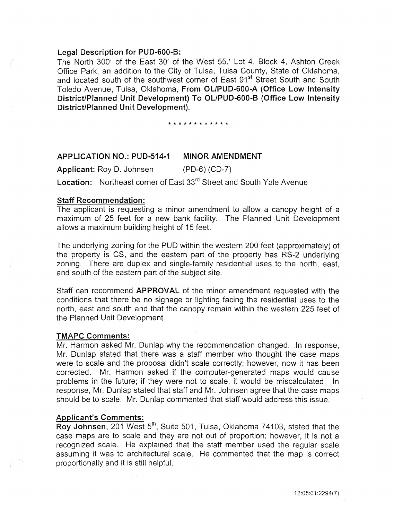## Legal Description for PUD-600-B:

The North 300' of the East 30' of the West 55.' Lot 4, Block 4, Ashton Creek Office Park, an addition to the City of Tulsa, Tulsa County, State of Oklahoma, and located south of the southwest corner of East 91<sup>st</sup> Street South and South Toledo Avenue, Tulsa, Oklahoma, From OL/PUD-600-A (Office Low Intensity District/Planned Unit Development) To OL/PUD-600-B (Office Low Intensity District/Planned Unit Development).

\* \* \* \* \* \* \* \* \* \* \* \*

## APPLICATION NO.: PUD-514-1 MINOR AMENDMENT

Applicant: Roy D. Johnsen (PD-6) (CD-7)

Location: Northeast corner of East 33<sup>rd</sup> Street and South Yale Avenue

## Staff Recommendation:

The applicant is requesting a minor amendment to allow a canopy height of a maximum of 25 feet for a new bank facility. The Planned Unit Development allows a maximum building height of 15 feet.

The underlying zoning for the PUD within the western 200 feet (approximately) of the property is CS, and the eastern part of the property has RS-2 underlying zoning. There are duplex and single-family residential uses to the north, east, and south of the eastern part of the subject site.

Staff can recommend APPROVAL of the minor amendment requested with the conditions that there be no signage or lighting facing the residential uses to the north, east and south and that the canopy remain within the western 225 feet of the Planned Unit Development.

#### TMAPC Comments:

Mr. Harmon asked Mr. Dunlap why the recommendation changed. In response, Mr. Dunlap stated that there was a staff member who thought the case maps were to scale and the proposal didn't scale correctly; however, now it has been corrected. Mr. Harmon asked if the computer-generated maps wouid cause problems in the future; if they were not to scale, it would be miscalculated. In response, Mr. Dunlap stated that staff and Mr. Johnsen agree that the case maps should be to scale. Mr. Dunlap commented that staff would address this issue.

### Applicant's Comments:

Roy Johnsen, 201 West 5<sup>th</sup>, Suite 501, Tulsa, Oklahoma 74103, stated that the case maps are to scale and they are not out of proportion; however, it is not a recognized scale. He explained that the staff member used the regular scale assuming it was to architectural scale. He commented that the map is correct proportionally and it is still helpful.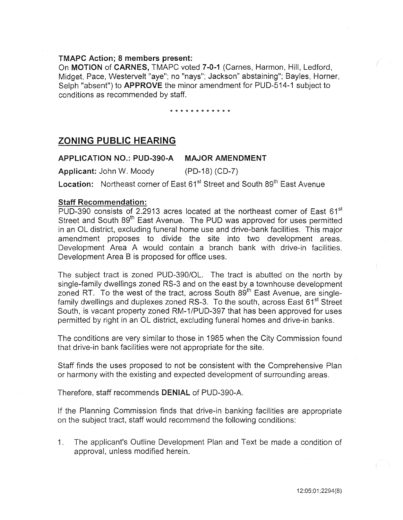## TMAPC Action; 8 members present:

On MOTION of CARNES, TMAPC voted 7-0-1 (Carnes, Harmon, Hill, Ledford, Midget, Pace, Westervelt "aye"; no "nays"; Jackson" abstaining"; Bayles, Horner, Selph "absent") to APPROVE the minor amendment for PUD-514-1 subject to conditions as recommended by staff.

### \* \* \* \* \* \* \* \* \* \* \* \*

## ZONING PUBLIC HEARING

## APPLICATION NO.: PUD-390-A MAJOR AMENDMENT

Applicant: John W. Moody (PD-18) (CD-7)

Location: Northeast corner of East 61<sup>st</sup> Street and South 89<sup>th</sup> East Avenue

## Staff Recommendation:

PUD-390 consists of 2.2913 acres located at the northeast corner of East  $61<sup>st</sup>$ Street and South 89<sup>th</sup> East Avenue. The PUD was approved for uses permitted in an OL district, excluding funeral home use and drive-bank facilities. This major amendment proposes to divide the site into two development areas. Development Area A would contain a branch bank with drive-in facilities. Development Area B is proposed for office uses.

The subject tract is zoned PUD-390/0L. The tract is abutted on the north by single-family dwellings zoned RS-3 and on the east by a townhouse development zoned RT. To the west of the tract, across South 89<sup>th</sup> East Avenue, are singlefamily dwellings and duplexes zoned RS-3. To the south, across East 61<sup>st</sup> Street South, is vacant property zoned RM-1/PUD-397 that has been approved for uses permitted by right in an OL district, excluding funeral homes and drive-in banks.

The conditions are very similar to those in 1985 when the City Commission found that drive-in bank facilities were not appropriate for the site.

Staff finds the uses proposed to not be consistent with the Comprehensive Plan or harmony with the existing and expected development of surrounding areas.

Therefore, staff recommends DENIAL of PUD-390-A.

If the Planning Commission finds that drive-in banking facilities are appropriate on the subject tract, staff would recommend the following conditions:

1. The applicant's Outline Development Plan and Text be made a condition of approval, unless modified herein.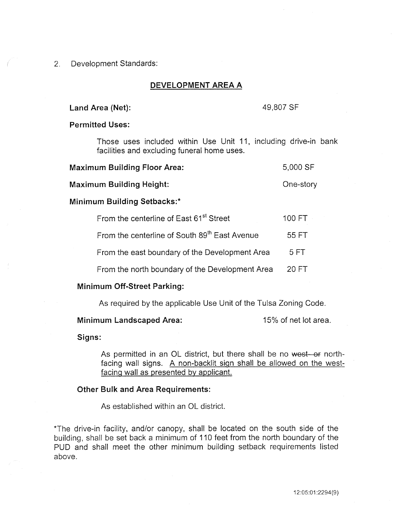## 2. Development Standards:

## DEVELOPMENT AREA A

## Land Area (Net): 49,807 SF

## Permitted Uses:

Those uses included within Use Unit 11, including drive-in bank facilities and excluding funeral home uses.

| <b>Maximum Building Floor Area:</b> | 5,000 SF |
|-------------------------------------|----------|
|                                     |          |

Maximum Building Height: Character Cone-story

## Minimum Building Setbacks:\*

| From the centerline of East 61 <sup>st</sup> Street | 100 FT |
|-----------------------------------------------------|--------|
| From the centerline of South 89th East Avenue       | 55 FT  |
| From the east boundary of the Development Area      | 5 FT   |
| From the north boundary of the Development Area     | 20 FT  |

## Minimum Off-Street Parking:

As required by the applicable Use Unit of the Tulsa Zoning Code.

## Minimum Landscaped Area: 15% of net lot area.

Signs:

As permitted in an OL district, but there shall be no west-or northfacing wall signs. A non-backlit sign shall be allowed on the westfacing wall as presented by applicant.

### Other Bulk and Area Requirements:

As established within an OL district.

\*The drive-in facility, and/or canopy, shall be located on the south side of the building, shall be set back a minimum of 110 feet from the north boundary of the PUD and shall meet the other minimum building setback requirements listed above.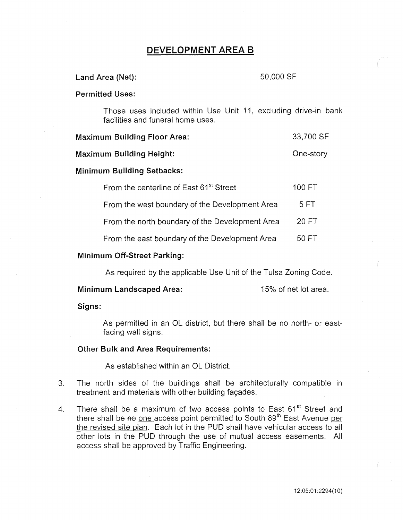# DEVELOPMENT AREA 8

## Land Area (Net): 50,000 SF

### Permitted Uses:

Those uses included within Use Unit 11, excluding drive-in bank facilities and funeral home uses.

| <b>Maximum Building Floor Area:</b> | 33,700 SF |
|-------------------------------------|-----------|
|-------------------------------------|-----------|

Maximum Building Height: Character Cone-story

## Minimum Building Setbacks:

| From the centerline of East 61 <sup>st</sup> Street | 100 FT |
|-----------------------------------------------------|--------|
| From the west boundary of the Development Area      | 5 FT   |
| From the north boundary of the Development Area     | 20 FT  |
| From the east boundary of the Development Area      | 50 FT  |

## Minimum Off-Street Parking:

As required by the applicable Use Unit of the Tulsa Zoning Code.

Minimum Landscaped Area: 15% of net lot area.

Signs:

As permitted in an OL district, but there shall be no north- or eastfacing wall signs.

## Other Bulk and Area Requirements:

As established within an OL District.

- 3. The north sides of the buildings shall be architecturally compatible in treatment and materials with other building façades.
- 4. There shall be a maximum of two access points to East 61<sup>st</sup> Street and there shall be <del>no</del> one access point permitted to South 89<sup>th</sup> East Avenue per the revised site plan. Each lot in the PUD shall have vehicular access to all other lots in the PUD through the use of mutual access easements. All access shall be approved by Traffic Engineering.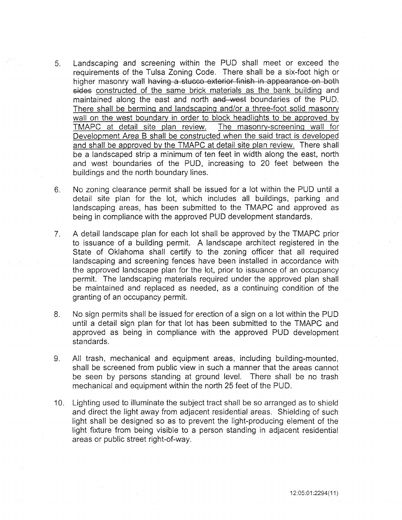- 5. Landscaping and screening within the PUD shall meet or exceed the requirements of the Tulsa Zoning Code. There shall be a six-foot high or higher masonry wall having a stucco exterior finish in appearance on both sides constructed of the same brick materials as the bank building and maintained along the east and north and west boundaries of the PUD. There shall be berming and landscaping and/or a three-foot solid masonry wall on the west boundary in order to block headlights to be approved by TMAPC at detail site plan review. The masonry-screening wall for Development Area B shall be constructed when the said tract is developed and shall be approved by the TMAPC at detail site plan review. There shall be a landscaped strip a minimum of ten feet in width along the east, north and west boundaries of the PUD, increasing to 20 feet between the buildings and the north boundary lines.
- 6. No zoning clearance permit shall be issued for a lot within the PUD until a detail site plan for the lot, which includes all buildings, parking and landscaping areas, has been submitted to the TMAPC and approved as being in compliance with the approved PUD development standards.
- 7. A detail landscape plan for each lot shall be approved by the TMAPC prior to issuance of a building permit. A landscape architect registered in the State of Oklahoma shall certify to the zoning officer that all required landscaping and screening fences have been installed in accordance with the approved landscape plan for the lot, prior to issuance of an occupancy permit. The landscaping materials required under the approved plan shall be maintained and replaced as needed, as a continuing condition of the granting of an occupancy permit.
- 8. No sign permits shall be issued for erection of a sign on a lot within the PUD until a detail sign plan for that lot has been submitted to the TMAPC and approved as being in compliance with the approved PUD development standards.
- 9. All trash, mechanical and equipment areas, including building-mounted, shall be screened from public view in such a manner that the areas cannot be seen by persons standing at ground level. There shall be no trash mechanical and equipment within the north 25 feet of the PUD.
- 10. Lighting used to illuminate the subject tract shall be so arranged as to shield and direct the light away from adjacent residential areas. Shielding of such light shall be designed so as to prevent the light-producing element of the light fixture from being visible to a person standing in adjacent residential areas or public street right-of-way.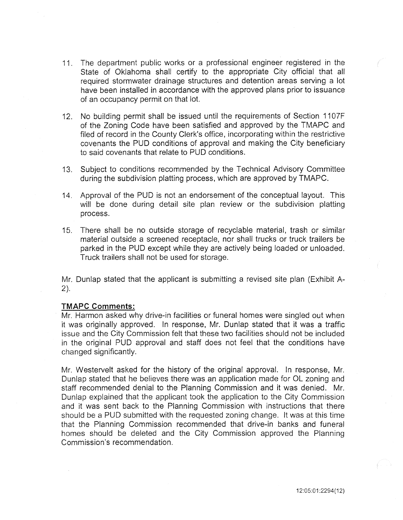- 11. The department public works or a professional engineer registered in the State of Oklahoma shall certify to the appropriate City official that all required stormwater drainage structures and detention areas serving a lot have been installed in accordance with the approved plans prior to issuance of an occupancy permit on that lot.
- 12. No building permit shall be issued until the requirements of Section 1107F of the Zoning Code have been satisfied and approved by the TMAPC and filed of record in the County Clerk's office, incorporating within the restrictive covenants the PUD conditions of approval and making the City beneficiary to said covenants that relate to PUD conditions.
- 13. Subject to conditions recommended by the Technical Advisory Committee during the subdivision platting process, which are approved by TMAPC.
- 14. Approval of the PUD is not an endorsement of the conceptual layout. This will be done during detail site plan review or the subdivision platting process.
- 15. There shall be no outside storage of recyclable material, trash or similar material outside a screened receptacle, nor shall trucks or truck trailers be parked in the PUD except while they are actively being loaded or unloaded. Truck trailers shall not be used for storage.

Mr. Dunlap stated that the applicant is submitting a revised site plan (Exhibit A-2).

## **TMAPC Comments:**

Mr. Harmon asked why drive-in facilities or funeral homes were singled out when it was originally approved. In response, Mr. Dunlap stated that it was a traffic issue and the City Commission felt that these two facilities should not be included in the original PUD approval and staff does not feel that the conditions have changed significantly.

Mr. Westervelt asked for the history of the original approval. In response, Mr. Dunlap stated that he believes there was an application made for OL zoning and staff recommended denial to the Planning Commission and it was denied. Mr. Dunlap explained that the applicant took the application to the City Commission and it was sent back to the Planning Commission with instructions that there should be a PUD submitted with the requested zoning change. It was at this time that the Planning Commission recommended that drive-in banks and funeral homes should be deleted and the City Commission approved the Planning Commission's recommendation.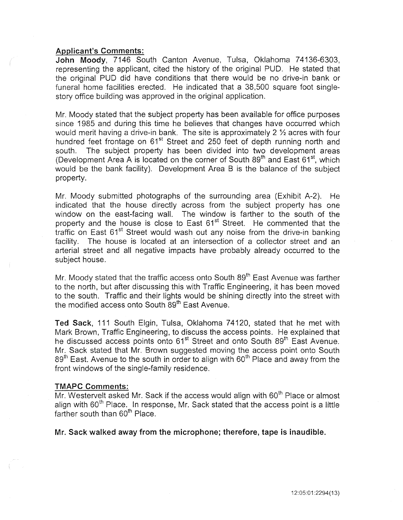## Applicant's Comments:

John Moody, 7146 South Canton Avenue, Tulsa, Oklahoma 74136-6303, representing the applicant, cited the history of the original PUD. He stated that the original PUD did have conditions that there would be no drive-in bank or funeral home facilities erected. He indicated that a 38,500 square foot singlestory office building was approved in the original application.

Mr. Moody stated that the subject property has been available for office purposes since 1985 and during this time he believes that changes have occurred which would merit having a drive-in bank. The site is approximately 2  $\frac{1}{2}$  acres with four hundred feet frontage on 61<sup>st</sup> Street and 250 feet of depth running north and south. The subject property has been divided into two development areas (Development Area A is located on the corner of South 89<sup>th</sup> and East 61<sup>st</sup>, which would be the bank facility). Development Area B is the balance of the subject property.

Mr. Moody submitted photographs of the surrounding area (Exhibit A-2). He indicated that the house directly across from the subject property has one window on the east-facing wall. The window is farther to the south of the property and the house is close to East 61<sup>st</sup> Street. He commented that the traffic on East 61<sup>st</sup> Street would wash out any noise from the drive-in banking facility. The house is located at an intersection of a collector street and an arterial street and all negative impacts have probably already occurred to the subject house.

Mr. Moody stated that the traffic access onto South 89<sup>th</sup> East Avenue was farther to the north, but after discussing this with Traffic Engineering, it has been moved to the south. Traffic and their lights would be shining directly into the street with the modified access onto South 89<sup>th</sup> East Avenue.

Ted Sack, 111 South Elgin, Tulsa, Oklahoma 74120, stated that he met with Mark Brown, Traffic Engineering, to discuss the access points. He explained that he discussed access points onto 61<sup>st</sup> Street and onto South 89<sup>th</sup> East Avenue. Mr. Sack stated that Mr. Brown suggested moving the access point onto South 89<sup>th</sup> East. Avenue to the south in order to align with 60<sup>th</sup> Place and away from the front windows of the single-family residence.

### TMAPC Comments:

 $Mr$ . Westervelt asked Mr. Sack if the access would align with  $60<sup>th</sup>$  Place or almost align with 60<sup>th</sup> Place. In response, Mr. Sack stated that the access point is a little farther south than 60<sup>th</sup> Place.

Mr. Sack walked away from the microphone; therefore, tape is inaudible.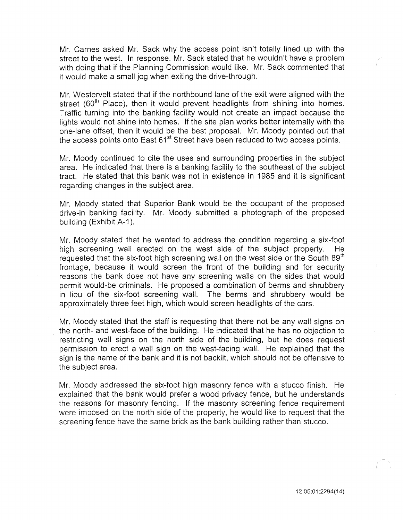Mr. Carnes asked Mr. Sack why the access point isn't totally lined up with the street to the west. In response, Mr. Sack stated that he wouldn't have a problem with doing that if the Planning Commission would like. Mr. Sack commented that it would make a small jog when exiting the drive-through.

Mr. Westervelt stated that if the northbound lane of the exit were aligned with the street ( $60<sup>th</sup>$  Place), then it would prevent headlights from shining into homes. Traffic turning into the banking facility would not create an impact because the lights would not shine into homes. If the site plan works better internally with the one-lane offset, then it would be the best proposal. Mr. Moody pointed out that the access points onto East 61<sup>st</sup> Street have been reduced to two access points.

Mr. Moody continued to cite the uses and surrounding properties in the subject area. He indicated that there is a banking facility to the southeast of the subject tract. He stated that this bank was not in existence in 1985 and it is significant regarding changes in the subject area.

Mr. Moody stated that Superior Bank would be the occupant of the proposed drive-in banking facility. Mr. Moody submitted a photograph of the proposed building (Exhibit A-1).

Mr. Moody stated that he wanted to address the condition regarding a six-foot high screening wall erected on the west side of the subject property. He requested that the six-foot high screening wall on the west side or the South  $89<sup>th</sup>$ frontage, because it would screen the front of the building and for security reasons the bank does not have any screening walls on the sides that would permit would-be criminals. He proposed a combination of berms and shrubbery in lieu of the six-foot screening wall. The berms and shrubbery would be approximately three feet high, which would screen headlights of the cars.

Mr. Moody stated that the staff is requesting that there not be any wall signs on the north- and west-face of the building. He indicated that he has no objection to restricting wall signs on the north side of the building, but he does request permission to erect a wall sign on the west-facing wall. He explained that the sign is the name of the bank and it is not backlit, which should not be offensive to the subject area.

Mr. Moody addressed the six-foot high masonry fence with a stucco finish. He explained that the bank would prefer a wood privacy fence, but he understands the reasons for masonry fencing. If the masonry screening fence requirement were imposed on the north side of the property, he would like to request that the screening fence have the same brick as the bank building rather than stucco.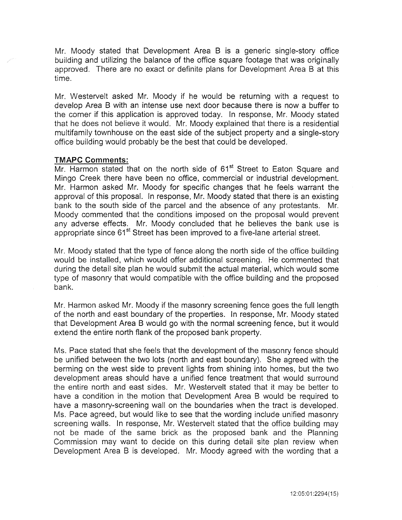Mr. Moody stated that Development Area B is a generic single-story office building and utilizing the balance of the office square footage that was originally approved. There are no exact or definite plans for Development Area B at this time.

Mr. Westervelt asked Mr. Moody if he would be returning with a request to develop Area B with an intense use next door because there is now a buffer to the corner if this application is approved today. In response, Mr. Moody stated that he does not believe it would. Mr. Moody explained that there is a residential multifamily townhouse on the east side of the subject property and a single-story office building would probably be the best that could be developed.

## **TMAPC Comments:**

Mr. Harmon stated that on the north side of 61<sup>st</sup> Street to Eaton Square and Mingo Creek there have been no office, commercial or industrial development. Mr. Harmon asked Mr. Moody for specific changes that he feels warrant the approval of this proposal. In response, Mr. Moody stated that there is an existing bank to the south side of the parcel and the absence of any protestants. Mr. Moody commented that the conditions imposed on the proposal would prevent any adverse effects. Mr. Moody concluded that he believes the bank use is appropriate since 61<sup>st</sup> Street has been improved to a five-lane arterial street.

Mr. Moody stated that the type of fence along the north side of the office building would be installed, which would offer additional screening. He commented that during the detail site plan he would submit the actual material, which would some type of masonry that would compatible with the office building and the proposed bank.

Mr. Harmon asked Mr. Moody if the masonry screening fence goes the full length of the north and east boundary of the properties. In response, Mr. Moody stated that Development Area B would go with the normal screening fence, but it would extend the entire north flank of the proposed bank property.

Ms. Pace stated that she feels that the development of the masonry fence should be unified between the two lots (north and east boundary). She agreed with the berming on the west side to prevent lights from shining into homes, but the two development areas should have a unified fence treatment that would surround the entire north and east sides. Mr. Westervelt stated that it may be better to have a condition in the motion that Development Area B would be required to have a masonry-screening wall on the boundaries when the tract is developed. Ms. Pace agreed, but would like to see that the wording include unified masonry screening walls. In response, Mr. Westervelt stated that the office building may not be made of the same brick as the proposed bank and the Planning Commission may want to decide on this during detail site plan review when Development Area B is developed. Mr. Moody agreed with the wording that a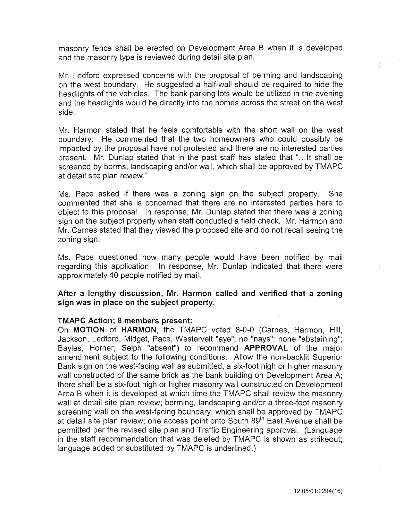masonry fence shall be erected on Development Area B when it is developed and the masonry type is reviewed during detail site plan.

Mr. Ledford expressed concerns with the proposal of berming and landscaping on the west boundary. He suggested a half-wall should be required to hide the headlights of the vehicles. The bank parking lots would be utilized in the evening and the headlights would be directly into the homes across the street on the west side.

Mr. Harmon stated that he feels comfortable with the short wall on the west boundary. He commented that the two homeowners who could possibly be impacted by the proposal have not protested and there are no interested parties present. Mr. Dunlap stated that in the past staff has stated that "... It shall be screened by berms, landscaping and/or wall, which shall be approved by TMAPC at detail site plan review."

Ms. Pace asked if there was a zoning sign on the subject property. She commented that she is concerned that there are no interested parties here to object to this proposal. In response, Mr. Dunlap stated that there was a zoning sign on the subject property when staff conducted a field check. Mr. Harmon and Mr. Carnes stated that they viewed the proposed site and do not recall seeing the zoning sign.

Ms. Pace questioned how many people would have been notified by mail regarding this application. In response, Mr. Dunlap indicated that there were approximately 40 people notified by mail.

After a lengthy discussion, Mr. Harmon called and verified that a zoning sign was in place on the subject property.

### TMAPC Action; 8 members present:

On MOTION of HARMON, the TMAPC voted 8-0-0 (Carnes, Harmon, Hill, Jackson, Ledford, Midget, Pace, Westervelt "aye"; no "nays"; none "abstaining"; Bayles, Horner, Selph "absent") to recommend APPROVAL of the major amendment subject to the following conditions: Allow the non-backlit Superior Bank sign on the west-facing wall as submitted; a six-foot high or higher masonry wall constructed of the same brick as the bank building on Development Area A; there shall be a six-foot high or higher masonry wall constructed on Development Area B when it is developed at which time the TMAPC shall review the masonry wall at detail site plan review; berming, landscaping and/or a three-foot masonry screening wall on the west-facing boundary, which shall be approved by TMAPC at detail site plan review; one access point onto South  $89<sup>th</sup>$  East Avenue shall be permitted per the revised site plan and Traffic Engineering approval. (Language in the staff recommendation that was deleted by TMAPC is shown as strikeout; language added or substituted by TMAPC is underlined.)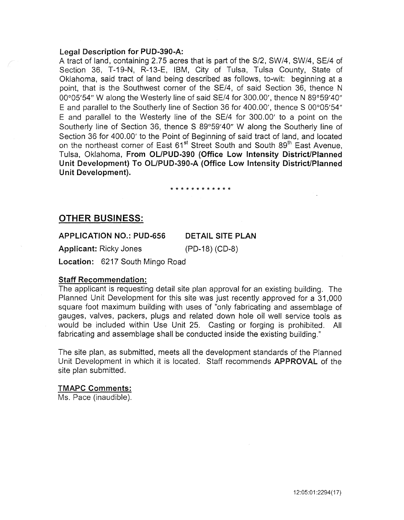## Legal Description for PUD-390-A:

A tract of land, containing 2.75 acres that is part of the S/2, SW/4, SW/4, SE/4 of Section 36, T-19-N, R-13-E, IBM, City of Tulsa, Tulsa County, State of Oklahoma, said tract of land being described as follows, to-wit: beginning at a point, that is the Southwest corner of the SE/4, of said Section 36, thence N 00°05'54" W along the Westerly line of said SE/4 for 300.00', thence N 89°59'40" E and parallel to the Southerly line of Section 36 for 400.00', thence S 00°05'54" E and parallel to the Westerly line of the SE/4 for 300.00' to a point on the Southerly line of Section 36, thence S 89°59'40" W along the Southerly line of Section 36 for 400.00' to the Point of Beginning of said tract of land, and located on the northeast corner of East 61<sup>st</sup> Street South and South 89<sup>th</sup> East Avenue, Tulsa, Oklahoma, From OL/PUD-390 (Office Low Intensity District/Planned Unit Development) To OL/PUD-390-A (Office Low Intensity District/Planned Unit Development).

#### \* \* \* \* \* \* \* \* \* \* \* \*

## OTHER BUSINESS:

#### APPLICATION NO.: PUD-656 DETAIL SITE PLAN

Applicant: Ricky Jones (PD-18) (CD-8)

Location: 6217 South Mingo Road

## Staff Recommendation:

The applicant is requesting detail site plan approval for an existing building. The Planned Unit Development for this site was just recently approved for a 31,000 square foot maximum building with uses of "only fabricating and assemblage of gauges, valves, packers, plugs and related down hole oil well service tools as would be included within Use Unit 25. Casting or forging is prohibited. All fabricating and assemblage shall be conducted inside the existing building."

The site plan, as submitted, meets all the development standards of the Planned Unit Development in which it is located. Staff recommends APPROVAL of the site plan submitted.

## TMAPC Comments:

Ms. Pace (inaudible).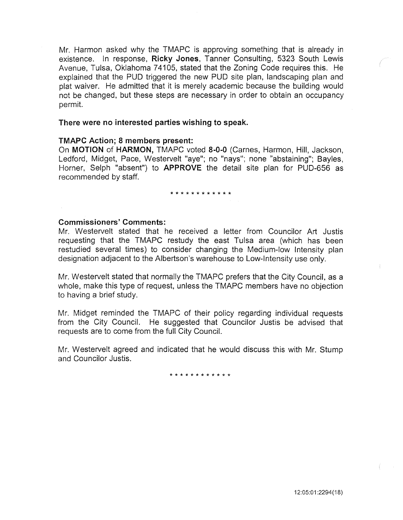Mr. Harmon asked why the TMAPC is approving something that is already in existence. In response, Ricky Jones, Tanner Consulting, 5323 South Lewis Avenue, Tulsa, Oklahoma 74105, stated that the Zoning Code requires this. He explained that the PUD triggered the new PUD site plan, landscaping plan and plat waiver. He admitted that it is merely academic because the building would not be changed, but these steps are necessary in order to obtain an occupancy permit.

## There were no interested parties wishing to speak.

## TMAPC Action; 8 members present:

On MOTION of HARMON, TMAPC voted 8-0-0 (Carnes, Harmon, Hill, Jackson, Ledford, Midget, Pace, Westervelt "aye"; no "nays"; none "abstaining"; Bayles, Horner, Selph "absent") to APPROVE the detail site plan for PUD-656 as recommended by staff.

#### \* \* \* \* \* \* \* \* \* \* \* \*

## Commissioners' Comments:

Mr. Westervelt stated that he received a letter from Councilor Art Justis requesting that the TMAPC restudy the east Tulsa area (which has been restudied several times) to consider changing the Medium-low Intensity plan designation adjacent to the Albertson's warehouse to Low-Intensity use only.

Mr. Westervelt stated that normally the TMAPC prefers that the City Council, as a whole, make this type of request, unless the TMAPC members have no objection to having a brief study.

Mr. Midget reminded the TMAPC of their policy regarding individual requests from the City Council. He suggested that Councilor Justis be advised that requests are to come from the full City Council.

Mr. Westervelt agreed and indicated that he would discuss this with Mr. Stump and Councilor Justis.

\* \* \* \* \* \* \* \* \* \* \* \*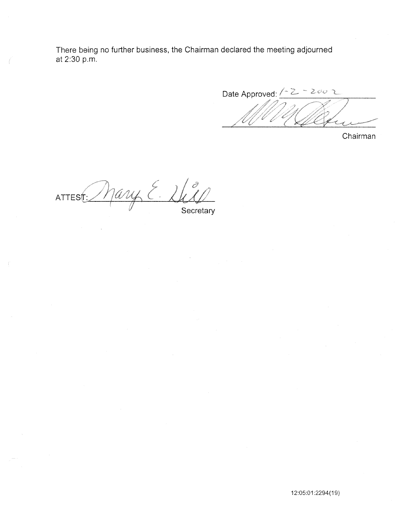There being no further business, the Chairman declared the meeting adjourned at 2:30 p.m.

Date Approved: <u>(2 - 2002</u>

Chairman

Mary E.  $\hat{\mathcal{O}}$  $ATTES<sub>1</sub>$ Secretary